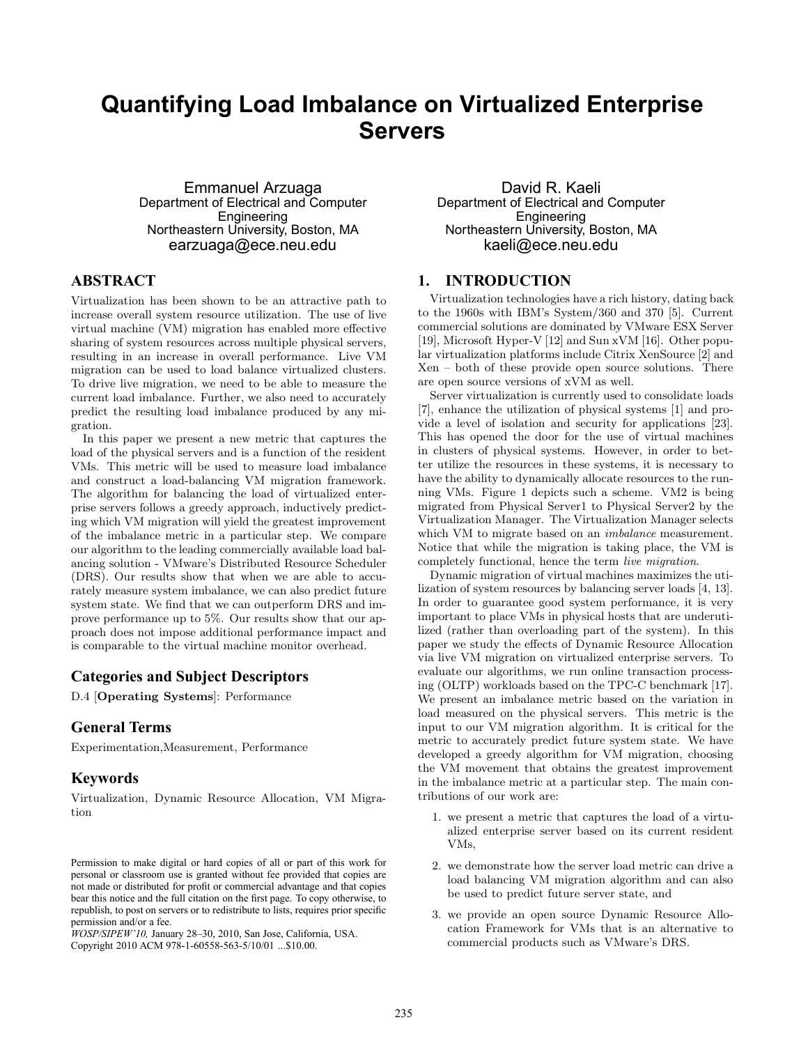# **Quantifying Load Imbalance on Virtualized Enterprise Servers**

Emmanuel Arzuaga Department of Electrical and Computer **Engineering** Northeastern University, Boston, MA earzuaga@ece.neu.edu

# **ABSTRACT**

Virtualization has been shown to be an attractive path to increase overall system resource utilization. The use of live virtual machine (VM) migration has enabled more effective sharing of system resources across multiple physical servers, resulting in an increase in overall performance. Live VM migration can be used to load balance virtualized clusters. To drive live migration, we need to be able to measure the current load imbalance. Further, we also need to accurately predict the resulting load imbalance produced by any migration.

In this paper we present a new metric that captures the load of the physical servers and is a function of the resident VMs. This metric will be used to measure load imbalance and construct a load-balancing VM migration framework. The algorithm for balancing the load of virtualized enterprise servers follows a greedy approach, inductively predicting which VM migration will yield the greatest improvement of the imbalance metric in a particular step. We compare our algorithm to the leading commercially available load balancing solution - VMware's Distributed Resource Scheduler (DRS). Our results show that when we are able to accurately measure system imbalance, we can also predict future system state. We find that we can outperform DRS and improve performance up to 5%. Our results show that our approach does not impose additional performance impact and is comparable to the virtual machine monitor overhead.

# **Categories and Subject Descriptors**

D.4 [Operating Systems]: Performance

## **General Terms**

Experimentation,Measurement, Performance

## **Keywords**

Virtualization, Dynamic Resource Allocation, VM Migration

*WOSP/SIPEW'10,* January 28–30, 2010, San Jose, California, USA. Copyright 2010 ACM 978-1-60558-563-5/10/01 ...\$10.00.

David R. Kaeli Department of Electrical and Computer Engineering Northeastern University, Boston, MA kaeli@ece.neu.edu

## **1. INTRODUCTION**

Virtualization technologies have a rich history, dating back to the 1960s with IBM's System/360 and 370 [5]. Current commercial solutions are dominated by VMware ESX Server [19], Microsoft Hyper-V [12] and Sun xVM [16]. Other popular virtualization platforms include Citrix XenSource [2] and Xen – both of these provide open source solutions. There are open source versions of xVM as well.

Server virtualization is currently used to consolidate loads [7], enhance the utilization of physical systems [1] and provide a level of isolation and security for applications [23]. This has opened the door for the use of virtual machines in clusters of physical systems. However, in order to better utilize the resources in these systems, it is necessary to have the ability to dynamically allocate resources to the running VMs. Figure 1 depicts such a scheme. VM2 is being migrated from Physical Server1 to Physical Server2 by the Virtualization Manager. The Virtualization Manager selects which VM to migrate based on an *imbalance* measurement. Notice that while the migration is taking place, the VM is completely functional, hence the term *live migration*.

Dynamic migration of virtual machines maximizes the utilization of system resources by balancing server loads [4, 13]. In order to guarantee good system performance, it is very important to place VMs in physical hosts that are underutilized (rather than overloading part of the system). In this paper we study the effects of Dynamic Resource Allocation via live VM migration on virtualized enterprise servers. To evaluate our algorithms, we run online transaction processing (OLTP) workloads based on the TPC-C benchmark [17]. We present an imbalance metric based on the variation in load measured on the physical servers. This metric is the input to our VM migration algorithm. It is critical for the metric to accurately predict future system state. We have developed a greedy algorithm for VM migration, choosing the VM movement that obtains the greatest improvement in the imbalance metric at a particular step. The main contributions of our work are:

- 1. we present a metric that captures the load of a virtualized enterprise server based on its current resident VMs,
- 2. we demonstrate how the server load metric can drive a load balancing VM migration algorithm and can also be used to predict future server state, and
- 3. we provide an open source Dynamic Resource Allocation Framework for VMs that is an alternative to commercial products such as VMware's DRS.

Permission to make digital or hard copies of all or part of this work for personal or classroom use is granted without fee provided that copies are not made or distributed for profit or commercial advantage and that copies bear this notice and the full citation on the first page. To copy otherwise, to republish, to post on servers or to redistribute to lists, requires prior specific permission and/or a fee.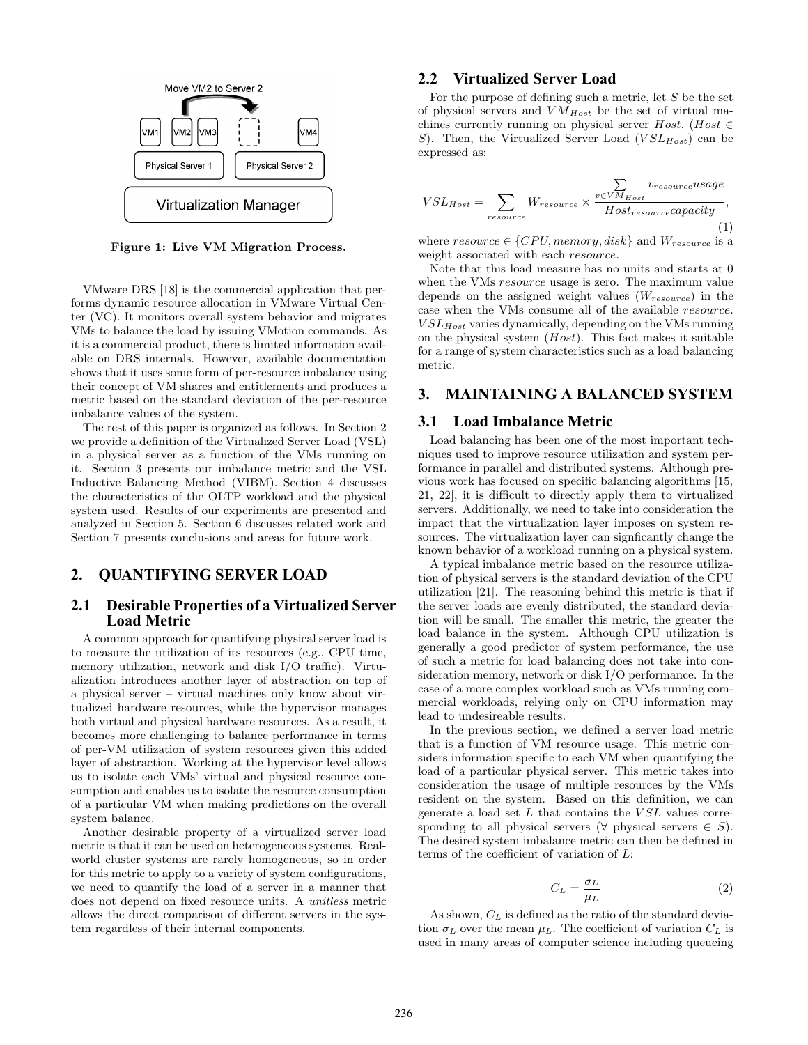

Figure 1: Live VM Migration Process.

VMware DRS [18] is the commercial application that performs dynamic resource allocation in VMware Virtual Center (VC). It monitors overall system behavior and migrates VMs to balance the load by issuing VMotion commands. As it is a commercial product, there is limited information available on DRS internals. However, available documentation shows that it uses some form of per-resource imbalance using their concept of VM shares and entitlements and produces a metric based on the standard deviation of the per-resource imbalance values of the system.

The rest of this paper is organized as follows. In Section 2 we provide a definition of the Virtualized Server Load (VSL) in a physical server as a function of the VMs running on it. Section 3 presents our imbalance metric and the VSL Inductive Balancing Method (VIBM). Section 4 discusses the characteristics of the OLTP workload and the physical system used. Results of our experiments are presented and analyzed in Section 5. Section 6 discusses related work and Section 7 presents conclusions and areas for future work.

#### **2. QUANTIFYING SERVER LOAD**

### **2.1 Desirable Properties of a Virtualized Server Load Metric**

A common approach for quantifying physical server load is to measure the utilization of its resources (e.g., CPU time, memory utilization, network and disk I/O traffic). Virtualization introduces another layer of abstraction on top of a physical server – virtual machines only know about virtualized hardware resources, while the hypervisor manages both virtual and physical hardware resources. As a result, it becomes more challenging to balance performance in terms of per-VM utilization of system resources given this added layer of abstraction. Working at the hypervisor level allows us to isolate each VMs' virtual and physical resource consumption and enables us to isolate the resource consumption of a particular VM when making predictions on the overall system balance.

Another desirable property of a virtualized server load metric is that it can be used on heterogeneous systems. Realworld cluster systems are rarely homogeneous, so in order for this metric to apply to a variety of system configurations, we need to quantify the load of a server in a manner that does not depend on fixed resource units. A *unitless* metric allows the direct comparison of different servers in the system regardless of their internal components.

# **2.2 Virtualized Server Load**

For the purpose of defining such a metric, let  $S$  be the set of physical servers and  $VM_{Host}$  be the set of virtual machines currently running on physical server  $Host$ , ( $Host \in$ S). Then, the Virtualized Server Load ( $VSL_{Host}$ ) can be expressed as:

$$
VSL_{Host} = \sum_{resource} W_{resource} \times \frac{\sum_{v \in VM_{Host}} v_{resourceusage}}{Host_{resource capacity}},
$$
(1)

where  $resource \in \{CPU, memory, disk\}$  and  $W_{resource}$  is a weight associated with each *resource*.

Note that this load measure has no units and starts at 0 when the VMs *resource* usage is zero. The maximum value depends on the assigned weight values  $(W_{resource})$  in the case when the VMs consume all of the available resource.  $VSL_{Host}$  varies dynamically, depending on the VMs running on the physical system  $(Host)$ . This fact makes it suitable for a range of system characteristics such as a load balancing metric.

# **3. MAINTAINING A BALANCED SYSTEM**

#### **3.1 Load Imbalance Metric**

Load balancing has been one of the most important techniques used to improve resource utilization and system performance in parallel and distributed systems. Although previous work has focused on specific balancing algorithms [15, 21, 22], it is difficult to directly apply them to virtualized servers. Additionally, we need to take into consideration the impact that the virtualization layer imposes on system resources. The virtualization layer can signficantly change the known behavior of a workload running on a physical system.

A typical imbalance metric based on the resource utilization of physical servers is the standard deviation of the CPU utilization [21]. The reasoning behind this metric is that if the server loads are evenly distributed, the standard deviation will be small. The smaller this metric, the greater the load balance in the system. Although CPU utilization is generally a good predictor of system performance, the use of such a metric for load balancing does not take into consideration memory, network or disk I/O performance. In the case of a more complex workload such as VMs running commercial workloads, relying only on CPU information may lead to undesireable results.

In the previous section, we defined a server load metric that is a function of VM resource usage. This metric considers information specific to each VM when quantifying the load of a particular physical server. This metric takes into consideration the usage of multiple resources by the VMs resident on the system. Based on this definition, we can generate a load set  $L$  that contains the  $VSL$  values corresponding to all physical servers ( $\forall$  physical servers  $\in S$ ). The desired system imbalance metric can then be defined in terms of the coefficient of variation of L:

$$
C_L = \frac{\sigma_L}{\mu_L} \tag{2}
$$

As shown,  $C_L$  is defined as the ratio of the standard deviation  $\sigma_L$  over the mean  $\mu_L$ . The coefficient of variation  $C_L$  is used in many areas of computer science including queueing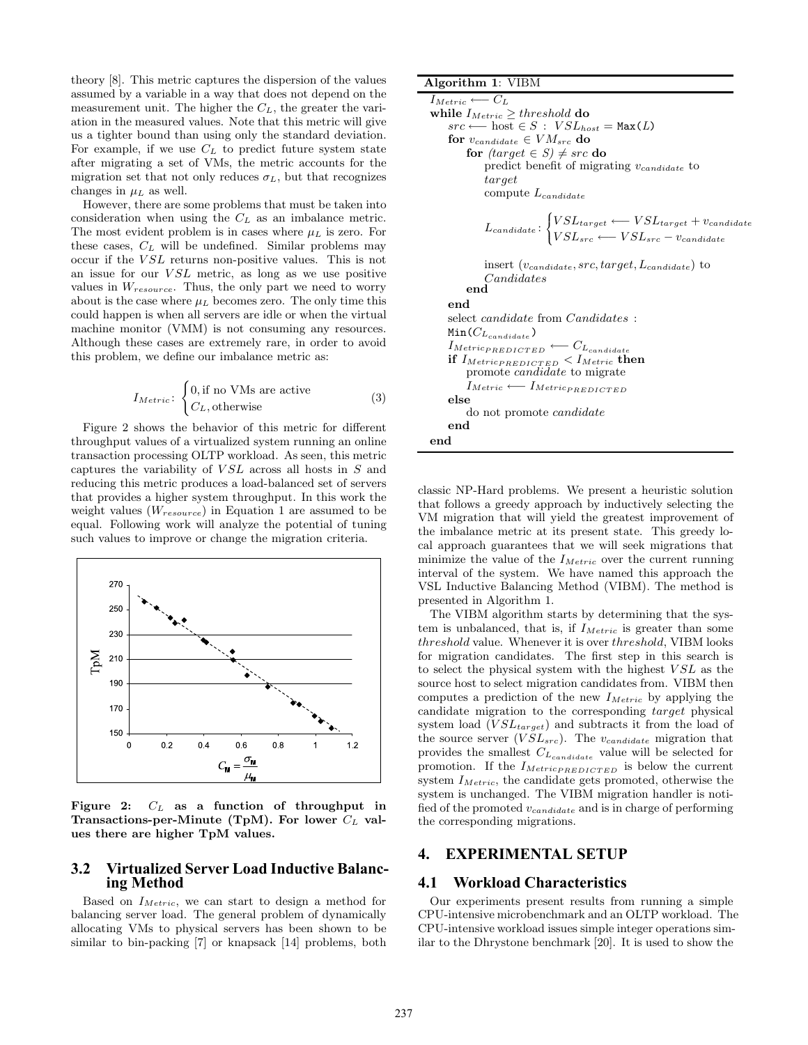theory [8]. This metric captures the dispersion of the values assumed by a variable in a way that does not depend on the measurement unit. The higher the  $C<sub>L</sub>$ , the greater the variation in the measured values. Note that this metric will give us a tighter bound than using only the standard deviation. For example, if we use  $C_L$  to predict future system state after migrating a set of VMs, the metric accounts for the migration set that not only reduces  $\sigma_L$ , but that recognizes changes in  $\mu_L$  as well.

However, there are some problems that must be taken into consideration when using the  $C_L$  as an imbalance metric. The most evident problem is in cases where  $\mu$ <sub>L</sub> is zero. For these cases,  $C_L$  will be undefined. Similar problems may occur if the VSL returns non-positive values. This is not an issue for our  $VSL$  metric, as long as we use positive values in  $W_{resource}$ . Thus, the only part we need to worry about is the case where  $\mu_L$  becomes zero. The only time this could happen is when all servers are idle or when the virtual machine monitor (VMM) is not consuming any resources. Although these cases are extremely rare, in order to avoid this problem, we define our imbalance metric as:

$$
I_{Metric}: \begin{cases} 0, \text{if no VMs are active} \\ C_L, \text{otherwise} \end{cases} \tag{3}
$$

Figure 2 shows the behavior of this metric for different throughput values of a virtualized system running an online transaction processing OLTP workload. As seen, this metric captures the variability of V SL across all hosts in S and reducing this metric produces a load-balanced set of servers that provides a higher system throughput. In this work the weight values  $(W_{resource})$  in Equation 1 are assumed to be equal. Following work will analyze the potential of tuning such values to improve or change the migration criteria.



Figure 2:  $C_L$  as a function of throughput in Transactions-per-Minute (TpM). For lower  $C_L$  values there are higher TpM values.

#### **3.2 Virtualized Server Load Inductive Balancing Method**

Based on  $I_{Metric}$ , we can start to design a method for balancing server load. The general problem of dynamically allocating VMs to physical servers has been shown to be similar to bin-packing [7] or knapsack [14] problems, both

#### Algorithm 1: VIBM  $I_{Metric} \longleftarrow C_L$ while  $I_{Metric} \geq threshold$  do  $src \longleftarrow \text{host} \in S : VSL_{host} = \text{Max}(L)$ for  $v_{candidate} \in VM_{src}$  do for  $(target \in S) \neq src$  do predict benefit of migrating  $v_{candidate}$  to target compute  $L_{candidate}$  $L_{candidate} \colon \Big\{$  $\mathfrak{r}$  $VSL_{target} \longleftarrow VSL_{target} + v_{candidate}$  $VSL_{src} \longleftarrow VSL_{src} - v_{candidate}$ insert  $(v_{candidate}, src, target, L_{candidate})$  to Candidates end end select candidate from Candidates :  $\texttt{Min}(C_{L_{candidate}})$  $I_{Metric_{REDICTED}} \longleftarrow C_{L_{candidate}}$ if  $I_{Metric\textit{PREDICTED}} < I_{Metric}$  then promote candidate to migrate  $I_{Metric} \longleftarrow I_{Metric\,REDICTED}$ else do not promote candidate end end

classic NP-Hard problems. We present a heuristic solution that follows a greedy approach by inductively selecting the VM migration that will yield the greatest improvement of the imbalance metric at its present state. This greedy local approach guarantees that we will seek migrations that minimize the value of the  $I_{Metric}$  over the current running interval of the system. We have named this approach the VSL Inductive Balancing Method (VIBM). The method is presented in Algorithm 1.

The VIBM algorithm starts by determining that the system is unbalanced, that is, if  $I_{Metric}$  is greater than some threshold value. Whenever it is over threshold, VIBM looks for migration candidates. The first step in this search is to select the physical system with the highest  $VSL$  as the source host to select migration candidates from. VIBM then computes a prediction of the new  $I_{Metric}$  by applying the candidate migration to the corresponding target physical system load  $(VSL_{target})$  and subtracts it from the load of the source server  $(VSL_{src})$ . The  $v_{candidate}$  migration that provides the smallest  $C_{L_{candidate}}$  value will be selected for promotion. If the  $I_{Metric_{REDICTED}}$  is below the current system  $\mathcal{I}_{Metric},$  the candidate gets promoted, otherwise the system is unchanged. The VIBM migration handler is notified of the promoted  $v_{candidate}$  and is in charge of performing the corresponding migrations.

### **4. EXPERIMENTAL SETUP**

#### **4.1 Workload Characteristics**

Our experiments present results from running a simple CPU-intensive microbenchmark and an OLTP workload. The CPU-intensive workload issues simple integer operations similar to the Dhrystone benchmark [20]. It is used to show the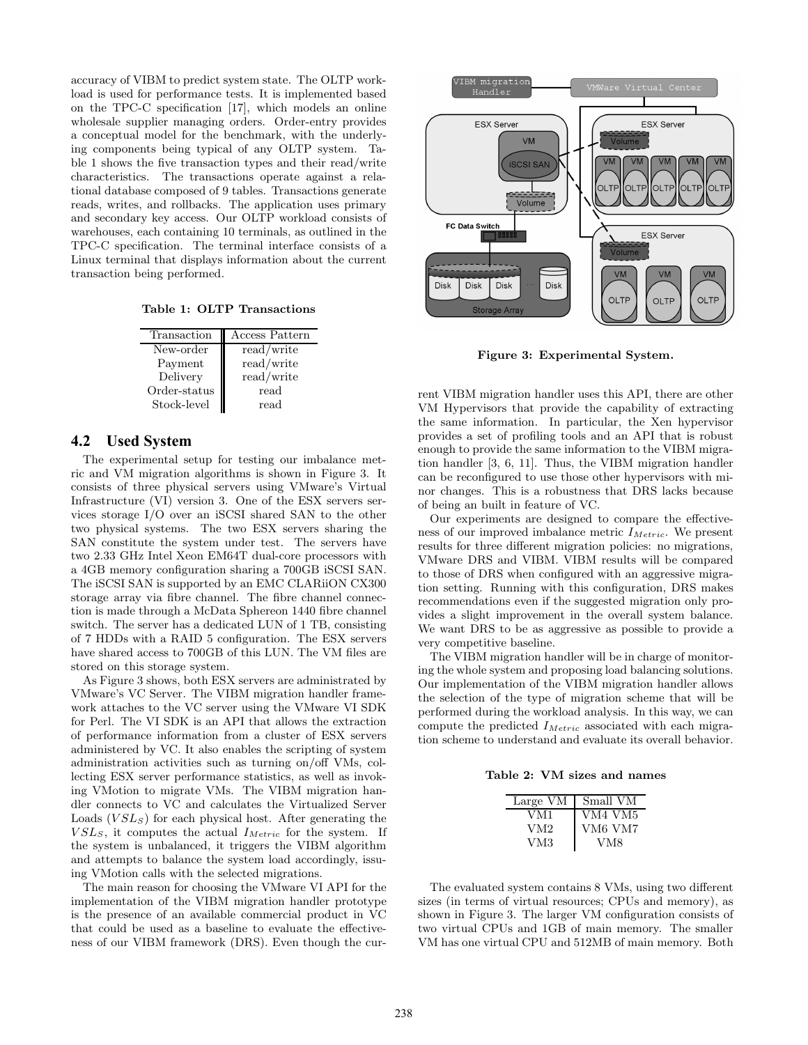accuracy of VIBM to predict system state. The OLTP workload is used for performance tests. It is implemented based on the TPC-C specification [17], which models an online wholesale supplier managing orders. Order-entry provides a conceptual model for the benchmark, with the underlying components being typical of any OLTP system. Table 1 shows the five transaction types and their read/write characteristics. The transactions operate against a relational database composed of 9 tables. Transactions generate reads, writes, and rollbacks. The application uses primary and secondary key access. Our OLTP workload consists of warehouses, each containing 10 terminals, as outlined in the TPC-C specification. The terminal interface consists of a Linux terminal that displays information about the current transaction being performed.

Table 1: OLTP Transactions

| Transaction  | Access Pattern                        |
|--------------|---------------------------------------|
| New-order    | $\overline{\text{read}}/\text{write}$ |
| Payment      | read/write                            |
| Delivery     | read/write                            |
| Order-status | read                                  |
| Stock-level  | read                                  |

## **4.2 Used System**

The experimental setup for testing our imbalance metric and VM migration algorithms is shown in Figure 3. It consists of three physical servers using VMware's Virtual Infrastructure (VI) version 3. One of the ESX servers services storage I/O over an iSCSI shared SAN to the other two physical systems. The two ESX servers sharing the SAN constitute the system under test. The servers have two 2.33 GHz Intel Xeon EM64T dual-core processors with a 4GB memory configuration sharing a 700GB iSCSI SAN. The iSCSI SAN is supported by an EMC CLARiiON CX300 storage array via fibre channel. The fibre channel connection is made through a McData Sphereon 1440 fibre channel switch. The server has a dedicated LUN of 1 TB, consisting of 7 HDDs with a RAID 5 configuration. The ESX servers have shared access to 700GB of this LUN. The VM files are stored on this storage system.

As Figure 3 shows, both ESX servers are administrated by VMware's VC Server. The VIBM migration handler framework attaches to the VC server using the VMware VI SDK for Perl. The VI SDK is an API that allows the extraction of performance information from a cluster of ESX servers administered by VC. It also enables the scripting of system administration activities such as turning on/off VMs, collecting ESX server performance statistics, as well as invoking VMotion to migrate VMs. The VIBM migration handler connects to VC and calculates the Virtualized Server Loads  $(VSL<sub>S</sub>)$  for each physical host. After generating the  $VSL<sub>S</sub>$ , it computes the actual  $I<sub>Metric</sub>$  for the system. If the system is unbalanced, it triggers the VIBM algorithm and attempts to balance the system load accordingly, issuing VMotion calls with the selected migrations.

The main reason for choosing the VMware VI API for the implementation of the VIBM migration handler prototype is the presence of an available commercial product in VC that could be used as a baseline to evaluate the effectiveness of our VIBM framework (DRS). Even though the cur-



Figure 3: Experimental System.

rent VIBM migration handler uses this API, there are other VM Hypervisors that provide the capability of extracting the same information. In particular, the Xen hypervisor provides a set of profiling tools and an API that is robust enough to provide the same information to the VIBM migration handler [3, 6, 11]. Thus, the VIBM migration handler can be reconfigured to use those other hypervisors with minor changes. This is a robustness that DRS lacks because of being an built in feature of VC.

Our experiments are designed to compare the effectiveness of our improved imbalance metric  $I_{Metric}$ . We present results for three different migration policies: no migrations, VMware DRS and VIBM. VIBM results will be compared to those of DRS when configured with an aggressive migration setting. Running with this configuration, DRS makes recommendations even if the suggested migration only provides a slight improvement in the overall system balance. We want DRS to be as aggressive as possible to provide a very competitive baseline.

The VIBM migration handler will be in charge of monitoring the whole system and proposing load balancing solutions. Our implementation of the VIBM migration handler allows the selection of the type of migration scheme that will be performed during the workload analysis. In this way, we can compute the predicted  $I_{Metric}$  associated with each migration scheme to understand and evaluate its overall behavior.

Table 2: VM sizes and names

| Large VM | Small VM |
|----------|----------|
| VM1      | VM4 VM5  |
| VM2      | VM6 VM7  |
| VM3      | VM8      |

The evaluated system contains 8 VMs, using two different sizes (in terms of virtual resources; CPUs and memory), as shown in Figure 3. The larger VM configuration consists of two virtual CPUs and 1GB of main memory. The smaller VM has one virtual CPU and 512MB of main memory. Both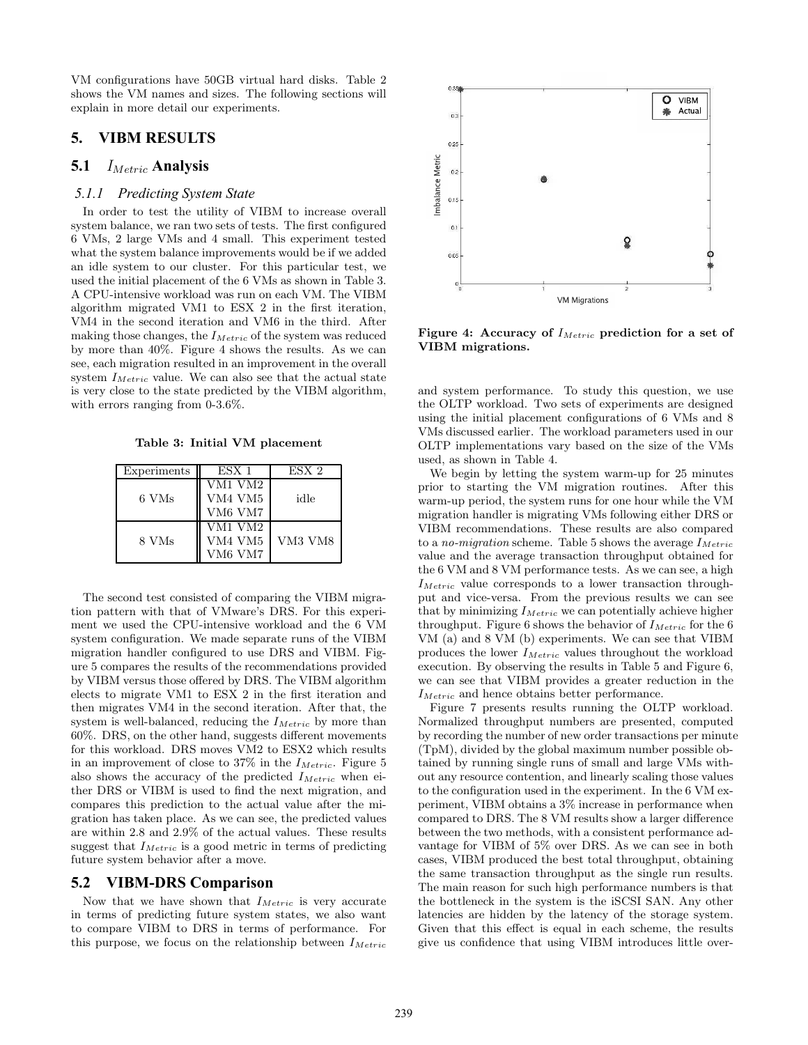VM configurations have 50GB virtual hard disks. Table 2 shows the VM names and sizes. The following sections will explain in more detail our experiments.

## **5. VIBM RESULTS**

# **5.1** I<sub>Metric</sub> Analysis

#### *5.1.1 Predicting System State*

In order to test the utility of VIBM to increase overall system balance, we ran two sets of tests. The first configured 6 VMs, 2 large VMs and 4 small. This experiment tested what the system balance improvements would be if we added an idle system to our cluster. For this particular test, we used the initial placement of the 6 VMs as shown in Table 3. A CPU-intensive workload was run on each VM. The VIBM algorithm migrated VM1 to ESX 2 in the first iteration, VM4 in the second iteration and VM6 in the third. After making those changes, the  $I_{Metric}$  of the system was reduced by more than 40%. Figure 4 shows the results. As we can see, each migration resulted in an improvement in the overall system  $I_{Metric}$  value. We can also see that the actual state is very close to the state predicted by the VIBM algorithm, with errors ranging from 0-3.6%.

Table 3: Initial VM placement

| Experiments | ESX <sub>1</sub>                                      | ESX <sub>2</sub> |
|-------------|-------------------------------------------------------|------------------|
| 6 VMs       | VM1 VM2<br>VM4 VM5<br>VM <sub>6</sub> VM <sub>7</sub> | idle             |
| 8 VMs       | VM1 VM2<br>VM4 VM5<br>VM <sub>6</sub> VM <sub>7</sub> | VM3 VM8          |

The second test consisted of comparing the VIBM migration pattern with that of VMware's DRS. For this experiment we used the CPU-intensive workload and the 6 VM system configuration. We made separate runs of the VIBM migration handler configured to use DRS and VIBM. Figure 5 compares the results of the recommendations provided by VIBM versus those offered by DRS. The VIBM algorithm elects to migrate VM1 to ESX 2 in the first iteration and then migrates VM4 in the second iteration. After that, the system is well-balanced, reducing the  $I_{Metric}$  by more than 60%. DRS, on the other hand, suggests different movements for this workload. DRS moves VM2 to ESX2 which results in an improvement of close to 37% in the  $I_{Metric}$ . Figure 5 also shows the accuracy of the predicted  $I_{Metric}$  when either DRS or VIBM is used to find the next migration, and compares this prediction to the actual value after the migration has taken place. As we can see, the predicted values are within 2.8 and 2.9% of the actual values. These results suggest that  $I_{Metric}$  is a good metric in terms of predicting future system behavior after a move.

#### **5.2 VIBM-DRS Comparison**

Now that we have shown that  $I_{Metric}$  is very accurate in terms of predicting future system states, we also want to compare VIBM to DRS in terms of performance. For this purpose, we focus on the relationship between  $I_{Metric}$ 



Figure 4: Accuracy of  $I_{Metric}$  prediction for a set of VIBM migrations.

and system performance. To study this question, we use the OLTP workload. Two sets of experiments are designed using the initial placement configurations of 6 VMs and 8 VMs discussed earlier. The workload parameters used in our OLTP implementations vary based on the size of the VMs used, as shown in Table 4.

We begin by letting the system warm-up for 25 minutes prior to starting the VM migration routines. After this warm-up period, the system runs for one hour while the VM migration handler is migrating VMs following either DRS or VIBM recommendations. These results are also compared to a *no-migration* scheme. Table 5 shows the average  $I_{Metric}$ value and the average transaction throughput obtained for the 6 VM and 8 VM performance tests. As we can see, a high  $I_{Metric}$  value corresponds to a lower transaction throughput and vice-versa. From the previous results we can see that by minimizing  $I_{Metric}$  we can potentially achieve higher throughput. Figure 6 shows the behavior of  $I_{Metric}$  for the 6 VM (a) and 8 VM (b) experiments. We can see that VIBM produces the lower  $I_{Metric}$  values throughout the workload execution. By observing the results in Table 5 and Figure 6, we can see that VIBM provides a greater reduction in the  $I_{Metric}$  and hence obtains better performance.

Figure 7 presents results running the OLTP workload. Normalized throughput numbers are presented, computed by recording the number of new order transactions per minute (TpM), divided by the global maximum number possible obtained by running single runs of small and large VMs without any resource contention, and linearly scaling those values to the configuration used in the experiment. In the 6 VM experiment, VIBM obtains a 3% increase in performance when compared to DRS. The 8 VM results show a larger difference between the two methods, with a consistent performance advantage for VIBM of 5% over DRS. As we can see in both cases, VIBM produced the best total throughput, obtaining the same transaction throughput as the single run results. The main reason for such high performance numbers is that the bottleneck in the system is the iSCSI SAN. Any other latencies are hidden by the latency of the storage system. Given that this effect is equal in each scheme, the results give us confidence that using VIBM introduces little over-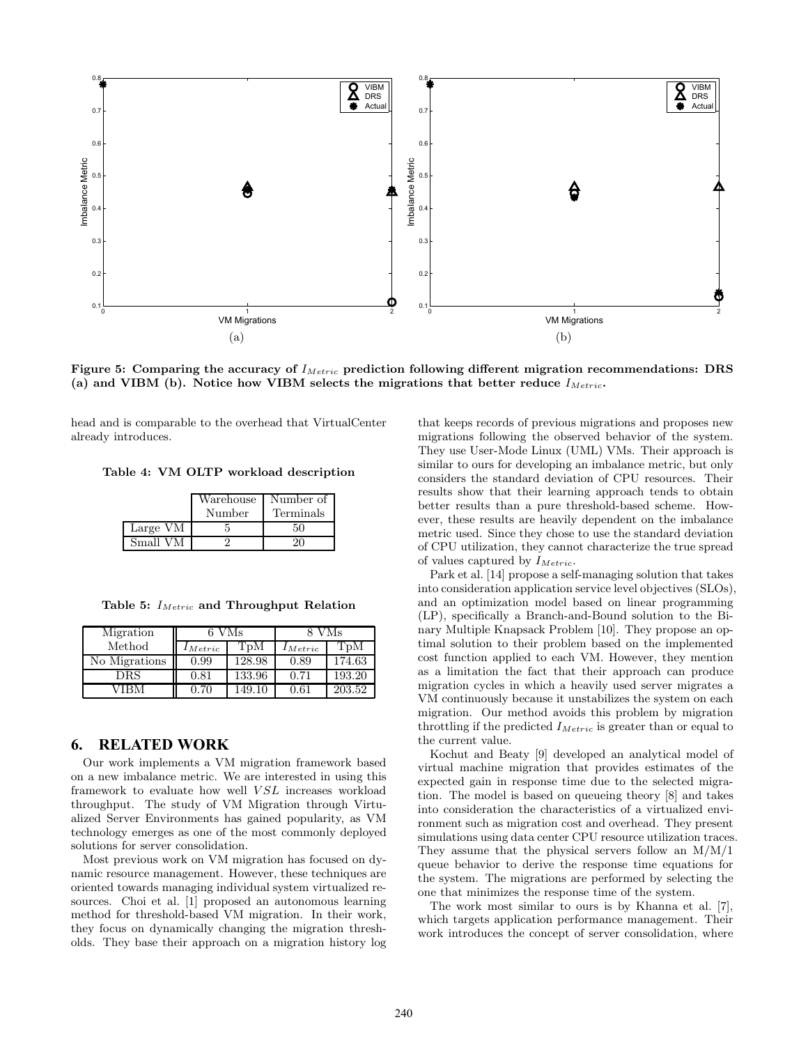

Figure 5: Comparing the accuracy of  $I_{Metric}$  prediction following different migration recommendations: DRS (a) and VIBM (b). Notice how VIBM selects the migrations that better reduce  $I_{Metric}$ .

head and is comparable to the overhead that VirtualCenter already introduces.

Table 4: VM OLTP workload description

|          | Warehouse<br>Number | Number of 1<br>Terminals |  |
|----------|---------------------|--------------------------|--|
| Large VM |                     | 50                       |  |
| Small VM |                     |                          |  |

Table 5:  $I_{Metric}$  and Throughput Relation

| Migration     | 6 VMs             |        | 8 VMs             |        |
|---------------|-------------------|--------|-------------------|--------|
| Method        | $I$ <i>Metric</i> | TpM    | $I$ <i>Metric</i> | ГрМ    |
| No Migrations | 0.99              | 128.98 | 0.89              | 174.63 |
| DRS.          | 0.81              | 133.96 | 0.71              | 193.20 |
| VIBM          | 0.70              | 149.10 | 0.61              | 203.52 |

#### **6. RELATED WORK**

Our work implements a VM migration framework based on a new imbalance metric. We are interested in using this framework to evaluate how well  $VSL$  increases workload throughput. The study of VM Migration through Virtualized Server Environments has gained popularity, as VM technology emerges as one of the most commonly deployed solutions for server consolidation.

Most previous work on VM migration has focused on dynamic resource management. However, these techniques are oriented towards managing individual system virtualized resources. Choi et al. [1] proposed an autonomous learning method for threshold-based VM migration. In their work, they focus on dynamically changing the migration thresholds. They base their approach on a migration history log

that keeps records of previous migrations and proposes new migrations following the observed behavior of the system. They use User-Mode Linux (UML) VMs. Their approach is similar to ours for developing an imbalance metric, but only considers the standard deviation of CPU resources. Their results show that their learning approach tends to obtain better results than a pure threshold-based scheme. However, these results are heavily dependent on the imbalance metric used. Since they chose to use the standard deviation of CPU utilization, they cannot characterize the true spread of values captured by  $I_{Metric}$ .

Park et al. [14] propose a self-managing solution that takes into consideration application service level objectives (SLOs), and an optimization model based on linear programming (LP), specifically a Branch-and-Bound solution to the Binary Multiple Knapsack Problem [10]. They propose an optimal solution to their problem based on the implemented cost function applied to each VM. However, they mention as a limitation the fact that their approach can produce migration cycles in which a heavily used server migrates a VM continuously because it unstabilizes the system on each migration. Our method avoids this problem by migration throttling if the predicted  $I_{Metric}$  is greater than or equal to the current value.

Kochut and Beaty [9] developed an analytical model of virtual machine migration that provides estimates of the expected gain in response time due to the selected migration. The model is based on queueing theory [8] and takes into consideration the characteristics of a virtualized environment such as migration cost and overhead. They present simulations using data center CPU resource utilization traces. They assume that the physical servers follow an M/M/1 queue behavior to derive the response time equations for the system. The migrations are performed by selecting the one that minimizes the response time of the system.

The work most similar to ours is by Khanna et al. [7], which targets application performance management. Their work introduces the concept of server consolidation, where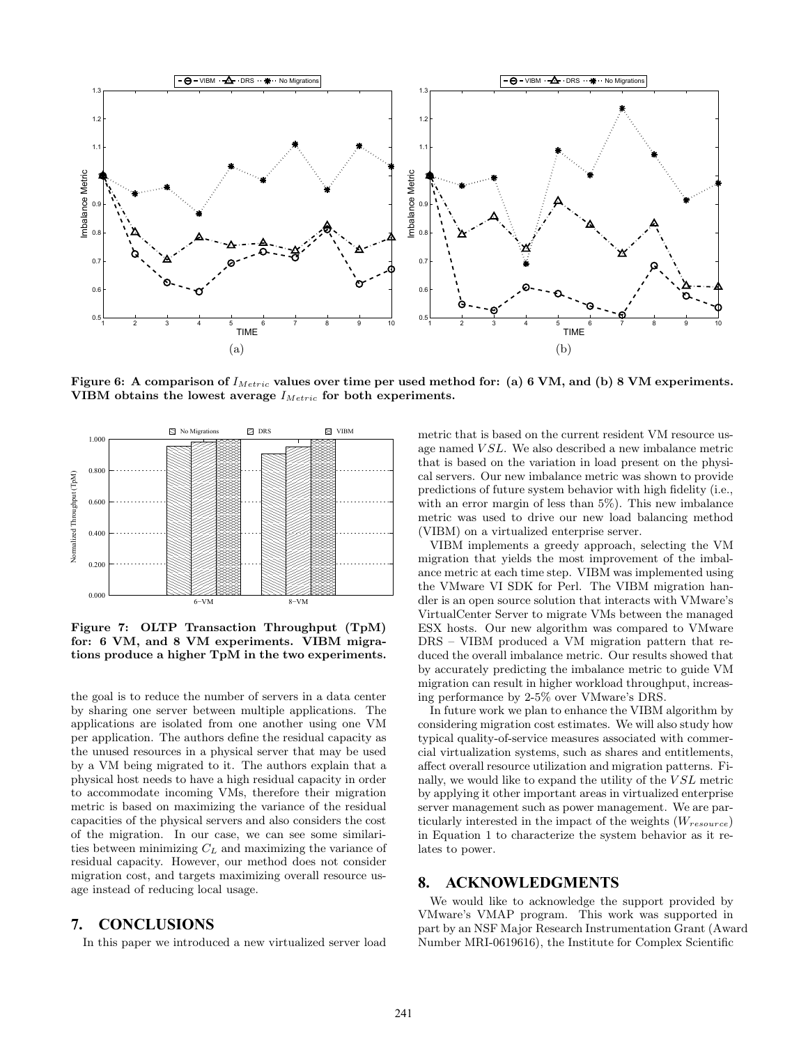

Figure 6: A comparison of  $I_{Metric}$  values over time per used method for: (a) 6 VM, and (b) 8 VM experiments. VIBM obtains the lowest average  $I_{Metric}$  for both experiments.



Figure 7: OLTP Transaction Throughput (TpM) for: 6 VM, and 8 VM experiments. VIBM migrations produce a higher TpM in the two experiments.

the goal is to reduce the number of servers in a data center by sharing one server between multiple applications. The applications are isolated from one another using one VM per application. The authors define the residual capacity as the unused resources in a physical server that may be used by a VM being migrated to it. The authors explain that a physical host needs to have a high residual capacity in order to accommodate incoming VMs, therefore their migration metric is based on maximizing the variance of the residual capacities of the physical servers and also considers the cost of the migration. In our case, we can see some similarities between minimizing  $C<sub>L</sub>$  and maximizing the variance of residual capacity. However, our method does not consider migration cost, and targets maximizing overall resource usage instead of reducing local usage.

# **7. CONCLUSIONS**

In this paper we introduced a new virtualized server load

metric that is based on the current resident VM resource usage named *VSL*. We also described a new imbalance metric that is based on the variation in load present on the physical servers. Our new imbalance metric was shown to provide predictions of future system behavior with high fidelity (i.e., with an error margin of less than 5%). This new imbalance metric was used to drive our new load balancing method (VIBM) on a virtualized enterprise server.

VIBM implements a greedy approach, selecting the VM migration that yields the most improvement of the imbalance metric at each time step. VIBM was implemented using the VMware VI SDK for Perl. The VIBM migration handler is an open source solution that interacts with VMware's VirtualCenter Server to migrate VMs between the managed ESX hosts. Our new algorithm was compared to VMware DRS – VIBM produced a VM migration pattern that reduced the overall imbalance metric. Our results showed that by accurately predicting the imbalance metric to guide VM migration can result in higher workload throughput, increasing performance by 2-5% over VMware's DRS.

In future work we plan to enhance the VIBM algorithm by considering migration cost estimates. We will also study how typical quality-of-service measures associated with commercial virtualization systems, such as shares and entitlements, affect overall resource utilization and migration patterns. Finally, we would like to expand the utility of the  $VSL$  metric by applying it other important areas in virtualized enterprise server management such as power management. We are particularly interested in the impact of the weights  $(W_{resource})$ in Equation 1 to characterize the system behavior as it relates to power.

#### **8. ACKNOWLEDGMENTS**

We would like to acknowledge the support provided by VMware's VMAP program. This work was supported in part by an NSF Major Research Instrumentation Grant (Award Number MRI-0619616), the Institute for Complex Scientific